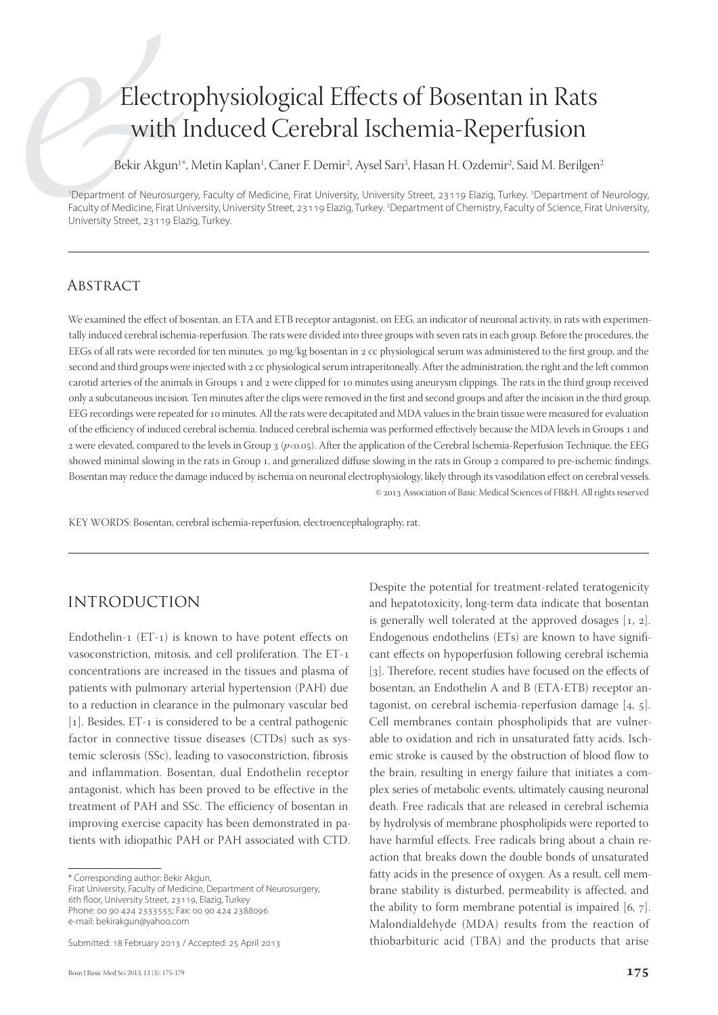# Electrophysiological Effects of Bosentan in Rats with Induced Cerebral Ischemia-Reperfusion

Bekir Akgun<sup>1\*</sup>, Metin Kaplan<sup>1</sup>, Caner F. Demir<sup>2</sup>, Aysel Sar1<sup>3</sup>, Hasan H. Ozdemir<sup>2</sup>, Said M. Berilgen<sup>2</sup>

1 Department of Neurosurgery, Faculty of Medicine, Firat University, University Street, 23119 Elazig, Turkey. 2 Department of Neurology, Faculty of Medicine, Firat University, University Street, 23119 Elazig, Turkey. <sup>3</sup>Department of Chemistry, Faculty of Science, Firat University, University Street, 23119 Elazig, Turkey.

## **ABSTRACT**

We examined the effect of bosentan, an ETA and ETB receptor antagonist, on EEG, an indicator of neuronal activity, in rats with experimentally induced cerebral ischemia-reperfusion. The rats were divided into three groups with seven rats in each group. Before the procedures, the EEGs of all rats were recorded for ten minutes. 30 mg/kg bosentan in 2 cc physiological serum was administered to the first group, and the second and third groups were injected with 2 cc physiological serum intraperitoneally. After the administration, the right and the left common carotid arteries of the animals in Groups 1 and 2 were clipped for 10 minutes using aneurysm clippings. The rats in the third group received only a subcutaneous incision. Ten minutes after the clips were removed in the first and second groups and after the incision in the third group, EEG recordings were repeated for 10 minutes. All the rats were decapitated and MDA values in the brain tissue were measured for evaluation of the efficiency of induced cerebral ischemia. Induced cerebral ischemia was performed effectively because the MDA levels in Groups 1 and 2 were elevated, compared to the levels in Group 3 ( $p<0.05$ ). After the application of the Cerebral Ischemia-Reperfusion Technique, the EEG showed minimal slowing in the rats in Group 1, and generalized diffuse slowing in the rats in Group 2 compared to pre-ischemic findings. Bosentan may reduce the damage induced by ischemia on neuronal electrophysiology, likely through its vasodilation effect on cerebral vessels. © 2013 Association of Basic Medical Sciences of FB&H. All rights reserved

KEY WORDS: Bosentan, cerebral ischemia-reperfusion, electroencephalography, rat.

# INTRODUCTION

Endothelin-1 (ET-1) is known to have potent effects on vasoconstriction, mitosis, and cell proliferation. The ET concentrations are increased in the tissues and plasma of patients with pulmonary arterial hypertension (PAH) due to a reduction in clearance in the pulmonary vascular bed [1]. Besides, ET-1 is considered to be a central pathogenic factor in connective tissue diseases (CTDs) such as systemic sclerosis (SSc), leading to vasoconstriction, fibrosis and inflammation. Bosentan, dual Endothelin receptor antagonist, which has been proved to be effective in the treatment of PAH and SSc. The efficiency of bosentan in improving exercise capacity has been demonstrated in patients with idiopathic PAH or PAH associated with CTD.

\* Corresponding author: Bekir Akgun,

Firat University, Faculty of Medicine, Department of Neurosurgery, 6th floor, University Street, 23119, Elazig, Turkey Phone: 00 90 424 2333555; Fax: 00 90 424 2388096 e-mail: bekirakgun@yahoo.com

Submitted: 18 February 2013 / Accepted: 25 April 2013

Despite the potential for treatment-related teratogenicity and hepatotoxicity, long-term data indicate that bosentan is generally well tolerated at the approved dosages  $[1, 2]$ . Endogenous endothelins (ETs) are known to have significant effects on hypoperfusion following cerebral ischemia [3]. Therefore, recent studies have focused on the effects of bosentan, an Endothelin A and B (ETA-ETB) receptor antagonist, on cerebral ischemia-reperfusion damage  $[4, 5]$ . Cell membranes contain phospholipids that are vulnerable to oxidation and rich in unsaturated fatty acids. Ischemic stroke is caused by the obstruction of blood flow to the brain, resulting in energy failure that initiates a complex series of metabolic events, ultimately causing neuronal death. Free radicals that are released in cerebral ischemia by hydrolysis of membrane phospholipids were reported to have harmful effects. Free radicals bring about a chain reaction that breaks down the double bonds of unsaturated fatty acids in the presence of oxygen. As a result, cell membrane stability is disturbed, permeability is affected, and the ability to form membrane potential is impaired  $[6, 7]$ . Malondialdehyde (MDA) results from the reaction of thiobarbituric acid (TBA) and the products that arise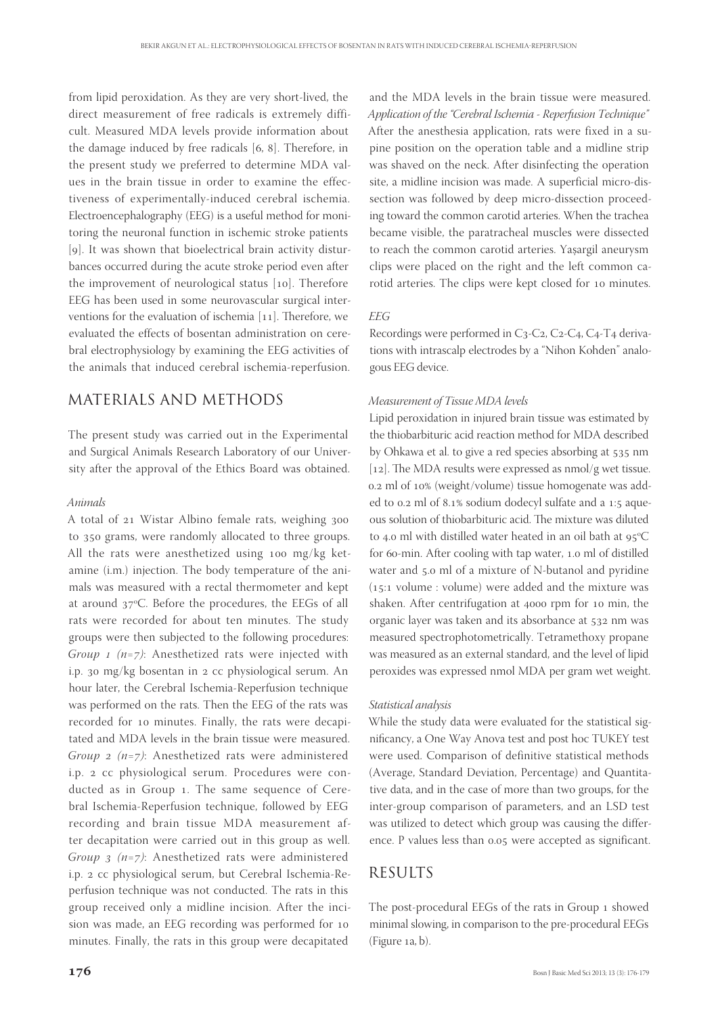from lipid peroxidation. As they are very short-lived, the direct measurement of free radicals is extremely difficult. Measured MDA levels provide information about the damage induced by free radicals  $[6, 8]$ . Therefore, in the present study we preferred to determine MDA values in the brain tissue in order to examine the effectiveness of experimentally-induced cerebral ischemia. Electroencephalography (EEG) is a useful method for monitoring the neuronal function in ischemic stroke patients [9]. It was shown that bioelectrical brain activity disturbances occurred during the acute stroke period even after the improvement of neurological status  $[10]$ . Therefore EEG has been used in some neurovascular surgical interventions for the evaluation of ischemia  $[11]$ . Therefore, we evaluated the effects of bosentan administration on cerebral electrophysiology by examining the EEG activities of the animals that induced cerebral ischemia-reperfusion.

## MATERIALS AND METHODS

The present study was carried out in the Experimental and Surgical Animals Research Laboratory of our University after the approval of the Ethics Board was obtained.

#### *Animals*

A total of 21 Wistar Albino female rats, weighing 300 to 350 grams, were randomly allocated to three groups. All the rats were anesthetized using  $100$  mg/kg ketamine (i.m.) injection. The body temperature of the animals was measured with a rectal thermometer and kept at around 37°C. Before the procedures, the EEGs of all rats were recorded for about ten minutes. The study groups were then subjected to the following procedures: *Group 1 (n=7)*: Anesthetized rats were injected with i.p. 30 mg/kg bosentan in  $2 \text{ cc}$  physiological serum. An hour later, the Cerebral Ischemia-Reperfusion technique was performed on the rats. Then the EEG of the rats was recorded for 10 minutes. Finally, the rats were decapitated and MDA levels in the brain tissue were measured. *Group 2 (n=7)*: Anesthetized rats were administered i.p. 2 cc physiological serum. Procedures were conducted as in Group 1. The same sequence of Cerebral Ischemia-Reperfusion technique, followed by EEG recording and brain tissue MDA measurement after decapitation were carried out in this group as well. *Group 3 (n=7)*: Anesthetized rats were administered i.p. 2 cc physiological serum, but Cerebral Ischemia-Reperfusion technique was not conducted. The rats in this group received only a midline incision. After the incision was made, an EEG recording was performed for minutes. Finally, the rats in this group were decapitated

and the MDA levels in the brain tissue were measured. *Application of the "Cerebral Ischemia - Reperfusion Technique"* After the anesthesia application, rats were fixed in a supine position on the operation table and a midline strip was shaved on the neck. After disinfecting the operation site, a midline incision was made. A superficial micro-dissection was followed by deep micro-dissection proceeding toward the common carotid arteries. When the trachea became visible, the paratracheal muscles were dissected to reach the common carotid arteries. Yaşargil aneurysm clips were placed on the right and the left common carotid arteries. The clips were kept closed for 10 minutes.

#### *EEG*

Recordings were performed in  $C_3$ -C<sub>2</sub>, C<sub>2</sub>-C<sub>4</sub>, C<sub>4</sub>-T<sub>4</sub> derivations with intrascalp electrodes by a "Nihon Kohden" analogous EEG device.

#### *Measurement of Tissue MDA levels*

Lipid peroxidation in injured brain tissue was estimated by the thiobarbituric acid reaction method for MDA described by Ohkawa et al. to give a red species absorbing at 535 nm [12]. The MDA results were expressed as  $nmol/g$  wet tissue. 0.2 ml of 10% (weight/volume) tissue homogenate was added to 0.2 ml of 8.1% sodium dodecyl sulfate and a 1:5 aqueous solution of thiobarbituric acid. The mixture was diluted to 4.0 ml with distilled water heated in an oil bath at  $95^{\circ}$ C for 60-min. After cooling with tap water, 1.0 ml of distilled water and 5.0 ml of a mixture of N-butanol and pyridine  $(15:1$  volume : volume) were added and the mixture was shaken. After centrifugation at 4000 rpm for 10 min, the organic layer was taken and its absorbance at 532 nm was measured spectrophotometrically. Tetramethoxy propane was measured as an external standard, and the level of lipid peroxides was expressed nmol MDA per gram wet weight.

#### *Statistical analysis*

While the study data were evaluated for the statistical significancy, a One Way Anova test and post hoc TUKEY test were used. Comparison of definitive statistical methods (Average, Standard Deviation, Percentage) and Quantitative data, and in the case of more than two groups, for the inter-group comparison of parameters, and an LSD test was utilized to detect which group was causing the difference. P values less than 0.05 were accepted as significant.

## RESULTS

The post-procedural EEGs of the rats in Group 1 showed minimal slowing, in comparison to the pre-procedural EEGs (Figure a, b).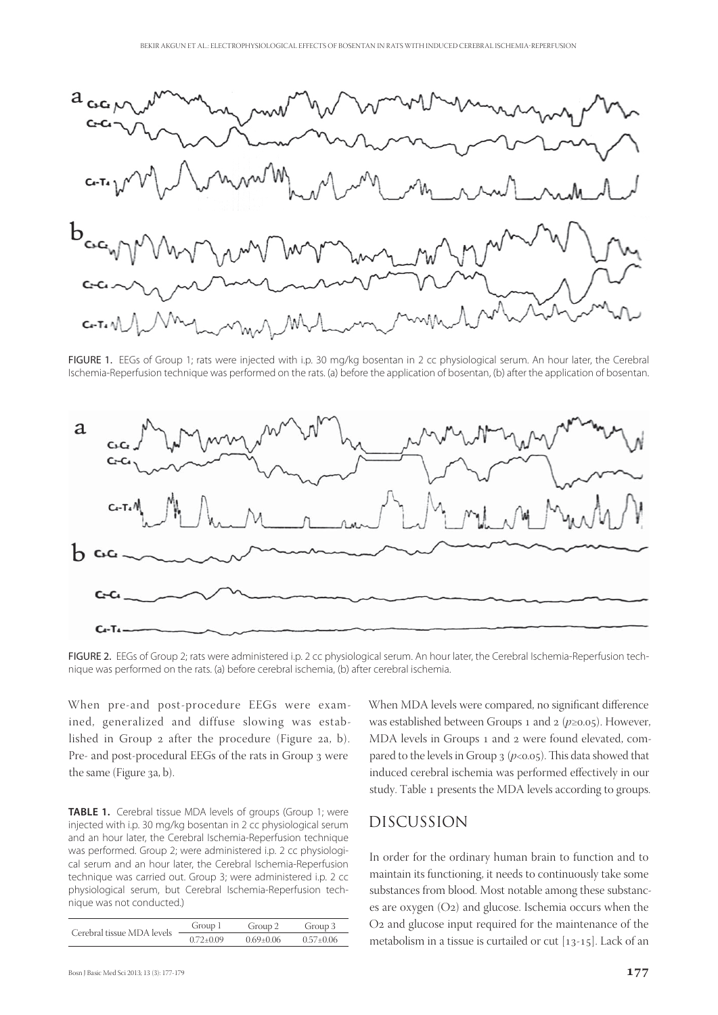

FIGURE 1. EEGs of Group 1; rats were injected with i.p. 30 mg/kg bosentan in 2 cc physiological serum. An hour later, the Cerebral Ischemia-Reperfusion technique was performed on the rats. (a) before the application of bosentan, (b) after the application of bosentan.



FIGURE 2. EEGs of Group 2; rats were administered i.p. 2 cc physiological serum. An hour later, the Cerebral Ischemia-Reperfusion technique was performed on the rats. (a) before cerebral ischemia, (b) after cerebral ischemia.

When pre-and post-procedure EEGs were examined, generalized and diffuse slowing was established in Group 2 after the procedure (Figure 2a, b). Pre- and post-procedural EEGs of the rats in Group 3 were the same (Figure 3a, b).

**TABLE 1.** Cerebral tissue MDA levels of groups (Group 1; were injected with i.p. 30 mg/kg bosentan in 2 cc physiological serum and an hour later, the Cerebral Ischemia-Reperfusion technique was performed. Group 2; were administered i.p. 2 cc physiological serum and an hour later, the Cerebral Ischemia-Reperfusion technique was carried out. Group 3; were administered i.p. 2 cc physiological serum, but Cerebral Ischemia-Reperfusion technique was not conducted.)

| Cerebral tissue MDA levels | Group 1     | Group 2       | Group 3         |
|----------------------------|-------------|---------------|-----------------|
|                            | $0.72+0.09$ | $0.69 + 0.06$ | $0.57 \pm 0.06$ |

When MDA levels were compared, no significant difference was established between Groups 1 and 2 (*p*≥0.05). However, MDA levels in Groups 1 and 2 were found elevated, compared to the levels in Group  $3 (p<0.05)$ . This data showed that induced cerebral ischemia was performed effectively in our study. Table 1 presents the MDA levels according to groups.

## DISCUSSION

In order for the ordinary human brain to function and to maintain its functioning, it needs to continuously take some substances from blood. Most notable among these substances are oxygen  $(O_2)$  and glucose. Ischemia occurs when the O<sub>2</sub> and glucose input required for the maintenance of the metabolism in a tissue is curtailed or cut  $[13-15]$ . Lack of an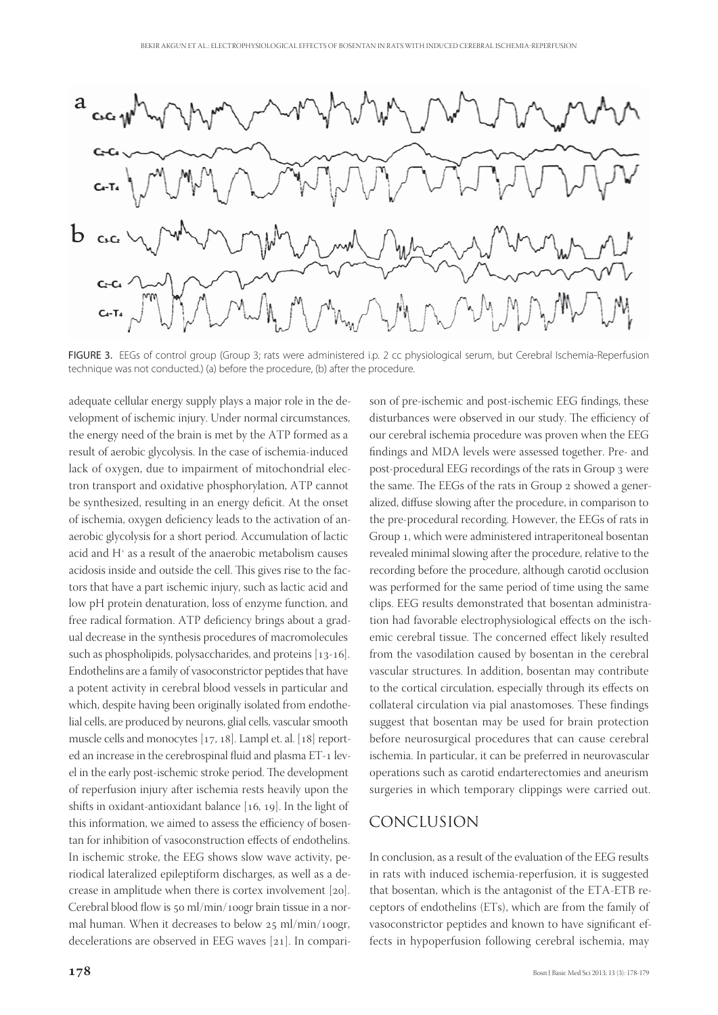![](_page_3_Figure_1.jpeg)

FIGURE 3. EEGs of control group (Group 3; rats were administered i.p. 2 cc physiological serum, but Cerebral Ischemia-Reperfusion technique was not conducted.) (a) before the procedure, (b) after the procedure.

adequate cellular energy supply plays a major role in the development of ischemic injury. Under normal circumstances, the energy need of the brain is met by the ATP formed as a result of aerobic glycolysis. In the case of ischemia-induced lack of oxygen, due to impairment of mitochondrial electron transport and oxidative phosphorylation, ATP cannot be synthesized, resulting in an energy deficit. At the onset of ischemia, oxygen deficiency leads to the activation of anaerobic glycolysis for a short period. Accumulation of lactic acid and H+ as a result of the anaerobic metabolism causes acidosis inside and outside the cell. This gives rise to the factors that have a part ischemic injury, such as lactic acid and low pH protein denaturation, loss of enzyme function, and free radical formation. ATP deficiency brings about a gradual decrease in the synthesis procedures of macromolecules such as phospholipids, polysaccharides, and proteins  $[13-16]$ . Endothelins are a family of vasoconstrictor peptides that have a potent activity in cerebral blood vessels in particular and which, despite having been originally isolated from endothelial cells, are produced by neurons, glial cells, vascular smooth muscle cells and monocytes  $[17, 18]$ . Lampl et. al.  $[18]$  reported an increase in the cerebrospinal fluid and plasma ET-1 level in the early post-ischemic stroke period. The development of reperfusion injury after ischemia rests heavily upon the shifts in oxidant-antioxidant balance  $[16, 19]$ . In the light of this information, we aimed to assess the efficiency of bosentan for inhibition of vasoconstruction effects of endothelins. In ischemic stroke, the EEG shows slow wave activity, periodical lateralized epileptiform discharges, as well as a decrease in amplitude when there is cortex involvement  $[20]$ . Cerebral blood flow is  $50$  ml/min/100gr brain tissue in a normal human. When it decreases to below  $25$  ml/min/100gr, decelerations are observed in EEG waves  $[21]$ . In compari-

son of pre-ischemic and post-ischemic EEG findings, these disturbances were observed in our study. The efficiency of our cerebral ischemia procedure was proven when the EEG findings and MDA levels were assessed together. Pre- and post-procedural EEG recordings of the rats in Group 3 were the same. The EEGs of the rats in Group 2 showed a generalized, diffuse slowing after the procedure, in comparison to the pre-procedural recording. However, the EEGs of rats in Group 1, which were administered intraperitoneal bosentan revealed minimal slowing after the procedure, relative to the recording before the procedure, although carotid occlusion was performed for the same period of time using the same clips. EEG results demonstrated that bosentan administration had favorable electrophysiological effects on the ischemic cerebral tissue. The concerned effect likely resulted from the vasodilation caused by bosentan in the cerebral vascular structures. In addition, bosentan may contribute to the cortical circulation, especially through its effects on collateral circulation via pial anastomoses. These findings suggest that bosentan may be used for brain protection before neurosurgical procedures that can cause cerebral ischemia. In particular, it can be preferred in neurovascular operations such as carotid endarterectomies and aneurism surgeries in which temporary clippings were carried out.

## CONCLUSION

In conclusion, as a result of the evaluation of the EEG results in rats with induced ischemia-reperfusion, it is suggested that bosentan, which is the antagonist of the ETA-ETB receptors of endothelins (ETs), which are from the family of vasoconstrictor peptides and known to have significant effects in hypoperfusion following cerebral ischemia, may